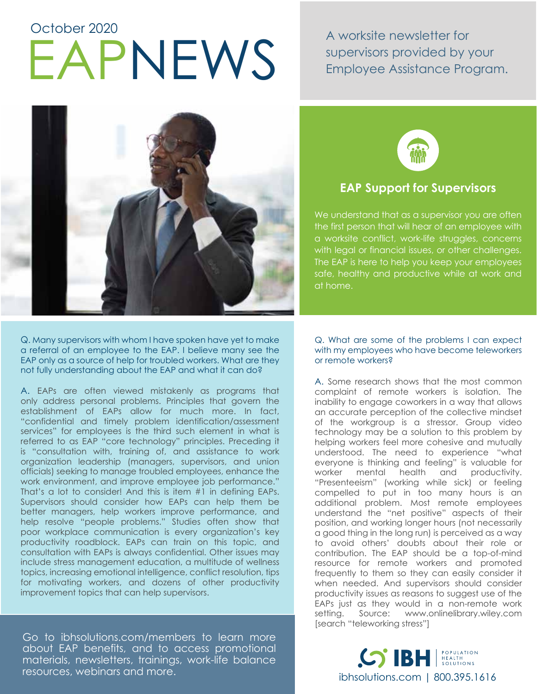# EAPNEWS A worksite newsletter for<br>Employee Assistance Pro October 2020

supervisors provided by your Employee Assistance Program.



Q. Many supervisors with whom I have spoken have yet to make a referral of an employee to the EAP. I believe many see the EAP only as a source of help for troubled workers. What are they not fully understanding about the EAP and what it can do?

A. EAPs are often viewed mistakenly as programs that only address personal problems. Principles that govern the establishment of EAPs allow for much more. In fact, "confidential and timely problem identification/assessment services" for employees is the third such element in what is referred to as EAP "core technology" principles. Preceding it is "consultation with, training of, and assistance to work organization leadership (managers, supervisors, and union officials) seeking to manage troubled employees, enhance the work environment, and improve employee job performance." That's a lot to consider! And this is item #1 in defining EAPs. Supervisors should consider how EAPs can help them be better managers, help workers improve performance, and help resolve "people problems." Studies often show that poor workplace communication is every organization's key productivity roadblock. EAPs can train on this topic, and consultation with EAPs is always confidential. Other issues may include stress management education, a multitude of wellness topics, increasing emotional intelligence, conflict resolution, tips for motivating workers, and dozens of other productivity improvement topics that can help supervisors.

Go to ibhsolutions.com/members to learn more about EAP benefits, and to access promotional materials, newsletters, trainings, work-life balance resources, webinars and more.



# **EAP Support for Supervisors**

We understand that as a supervisor you are often the first person that will hear of an employee with a worksite conflict, work-life struggles, concerns with legal or financial issues, or other challenges. The EAP is here to help you keep your employees safe, healthy and productive while at work and at home.

#### Q. What are some of the problems I can expect with my employees who have become teleworkers or remote workers?

A. Some research shows that the most common complaint of remote workers is isolation. The inability to engage coworkers in a way that allows an accurate perception of the collective mindset of the workgroup is a stressor. Group video technology may be a solution to this problem by helping workers feel more cohesive and mutually understood. The need to experience "what everyone is thinking and feeling" is valuable for worker mental health and productivity. "Presenteeism" (working while sick) or feeling compelled to put in too many hours is an additional problem. Most remote employees understand the "net positive" aspects of their position, and working longer hours (not necessarily a good thing in the long run) is perceived as a way to avoid others' doubts about their role or contribution. The EAP should be a top-of-mind resource for remote workers and promoted frequently to them so they can easily consider it when needed. And supervisors should consider productivity issues as reasons to suggest use of the EAPs just as they would in a non-remote work setting. Source: www.onlinelibrary.wiley.com [search "teleworking stress"]

**and more in the more in the more in the more in the more in the more in the more in the more in the more in the more in the more in the more in the more in the more in the more in the more in the more in the more in the m**